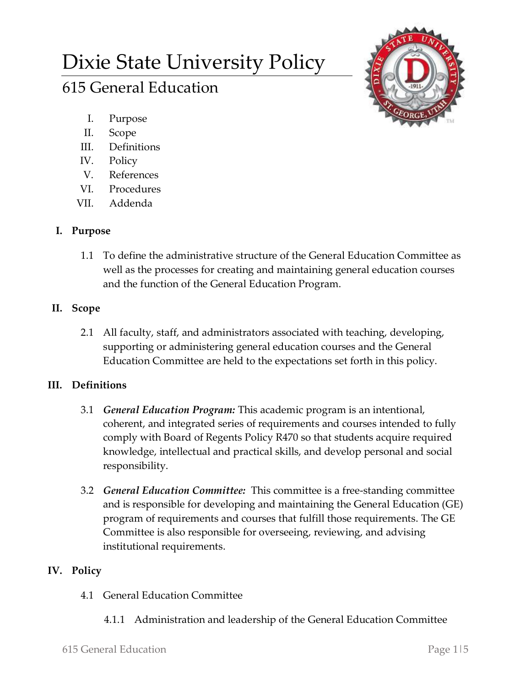# Dixie State University Policy

# 615 General Education

- I. Purpose
- II. Scope
- III. Definitions
- IV. Policy
- V. References
- VI. Procedures
- VII. Addenda

# **I. Purpose**

- 1.1 To define the administrative structure of the General Education Committee as well as the processes for creating and maintaining general education courses and the function of the General Education Program.
- **II. Scope**
	- 2.1 All faculty, staff, and administrators associated with teaching, developing, supporting or administering general education courses and the General Education Committee are held to the expectations set forth in this policy.

## **III. Definitions**

- 3.1 *General Education Program:* This academic program is an intentional, coherent, and integrated series of requirements and courses intended to fully comply with Board of Regents Policy R470 so that students acquire required knowledge, intellectual and practical skills, and develop personal and social responsibility.
- 3.2 *General Education Committee:* This committee is a free-standing committee and is responsible for developing and maintaining the General Education (GE) program of requirements and courses that fulfill those requirements. The GE Committee is also responsible for overseeing, reviewing, and advising institutional requirements.

## **IV. Policy**

- 4.1 General Education Committee
	- 4.1.1 Administration and leadership of the General Education Committee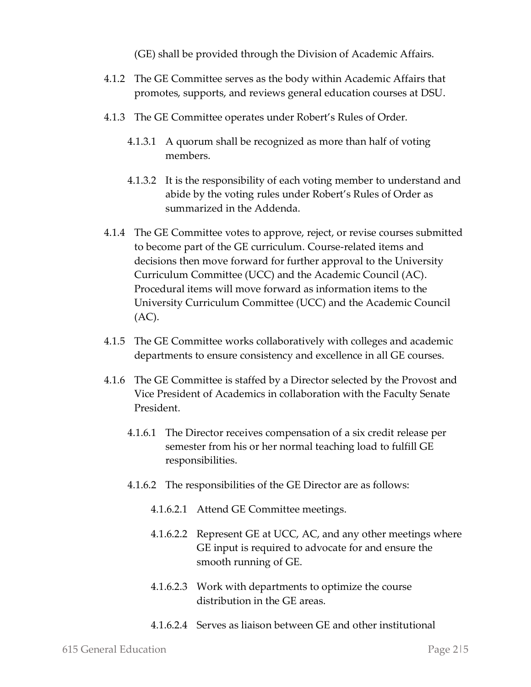(GE) shall be provided through the Division of Academic Affairs.

- 4.1.2 The GE Committee serves as the body within Academic Affairs that promotes, supports, and reviews general education courses at DSU.
- 4.1.3 The GE Committee operates under Robert's Rules of Order.
	- 4.1.3.1 A quorum shall be recognized as more than half of voting members.
	- 4.1.3.2 It is the responsibility of each voting member to understand and abide by the voting rules under Robert's Rules of Order as summarized in the Addenda.
- 4.1.4 The GE Committee votes to approve, reject, or revise courses submitted to become part of the GE curriculum. Course-related items and decisions then move forward for further approval to the University Curriculum Committee (UCC) and the Academic Council (AC). Procedural items will move forward as information items to the University Curriculum Committee (UCC) and the Academic Council (AC).
- 4.1.5 The GE Committee works collaboratively with colleges and academic departments to ensure consistency and excellence in all GE courses.
- 4.1.6 The GE Committee is staffed by a Director selected by the Provost and Vice President of Academics in collaboration with the Faculty Senate President.
	- 4.1.6.1 The Director receives compensation of a six credit release per semester from his or her normal teaching load to fulfill GE responsibilities.
	- 4.1.6.2 The responsibilities of the GE Director are as follows:
		- 4.1.6.2.1 Attend GE Committee meetings.
		- 4.1.6.2.2 Represent GE at UCC, AC, and any other meetings where GE input is required to advocate for and ensure the smooth running of GE.
		- 4.1.6.2.3 Work with departments to optimize the course distribution in the GE areas.
		- 4.1.6.2.4 Serves as liaison between GE and other institutional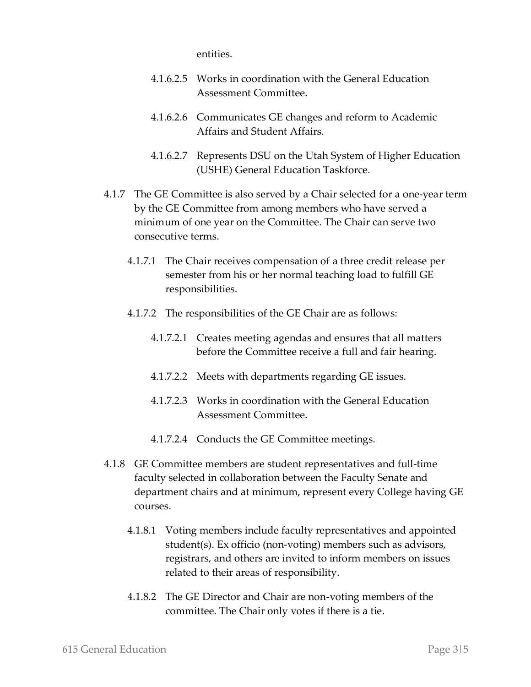entities.

- 4.1.6.2.5 Works in coordination with the General Education Assessment Committee.
- 4.1.6.2.6 Communicates GE changes and reform to Academic Affairs and Student Affairs.
- 4.1.6.2.7 Represents DSU on the Utah System of Higher Education (USHE) General Education Taskforce.
- 4.1.7 The GE Committee is also served by a Chair selected for a one-year term by the GE Committee from among members who have served a minimum of one year on the Committee. The Chair can serve two consecutive terms.
	- 4.1.7.1 The Chair receives compensation of a three credit release per semester from his or her normal teaching load to fulfill GE responsibilities.
	- 4.1.7.2 The responsibilities of the GE Chair are as follows:
		- 4.1.7.2.1 Creates meeting agendas and ensures that all matters before the Committee receive a full and fair hearing.
		- 4.1.7.2.2 Meets with departments regarding GE issues.
		- 4.1.7.2.3 Works in coordination with the General Education Assessment Committee.
		- 4.1.7.2.4 Conducts the GE Committee meetings.
- 4.1.8 GE Committee members are student representatives and full-time faculty selected in collaboration between the Faculty Senate and department chairs and at minimum, represent every College having GE courses.
	- 4.1.8.1 Voting members include faculty representatives and appointed student(s). Ex officio (non-voting) members such as advisors, registrars, and others are invited to inform members on issues related to their areas of responsibility.
	- 4.1.8.2 The GE Director and Chair are non-voting members of the committee. The Chair only votes if there is a tie.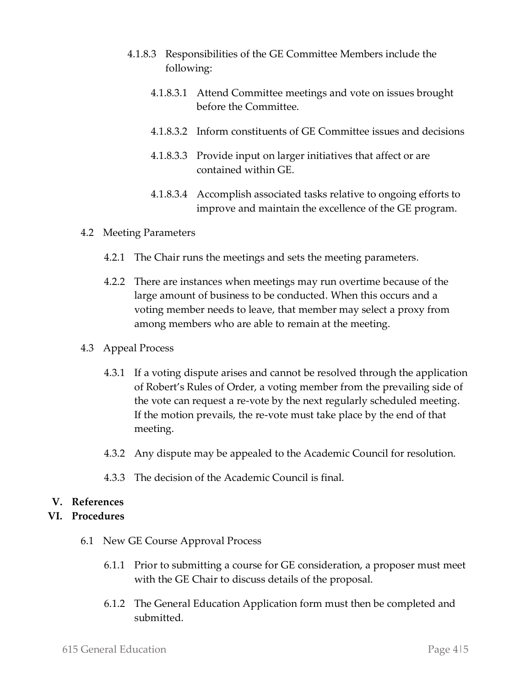- 4.1.8.3 Responsibilities of the GE Committee Members include the following:
	- 4.1.8.3.1 Attend Committee meetings and vote on issues brought before the Committee.
	- 4.1.8.3.2 Inform constituents of GE Committee issues and decisions
	- 4.1.8.3.3 Provide input on larger initiatives that affect or are contained within GE.
	- 4.1.8.3.4 Accomplish associated tasks relative to ongoing efforts to improve and maintain the excellence of the GE program.

#### 4.2 Meeting Parameters

- 4.2.1 The Chair runs the meetings and sets the meeting parameters.
- 4.2.2 There are instances when meetings may run overtime because of the large amount of business to be conducted. When this occurs and a voting member needs to leave, that member may select a proxy from among members who are able to remain at the meeting.
- 4.3 Appeal Process
	- 4.3.1 If a voting dispute arises and cannot be resolved through the application of Robert's Rules of Order, a voting member from the prevailing side of the vote can request a re-vote by the next regularly scheduled meeting. If the motion prevails, the re-vote must take place by the end of that meeting.
	- 4.3.2 Any dispute may be appealed to the Academic Council for resolution.
	- 4.3.3 The decision of the Academic Council is final.

#### **V. References**

#### **VI. Procedures**

- 6.1 New GE Course Approval Process
	- 6.1.1 Prior to submitting a course for GE consideration, a proposer must meet with the GE Chair to discuss details of the proposal.
	- 6.1.2 The General Education Application form must then be completed and submitted.